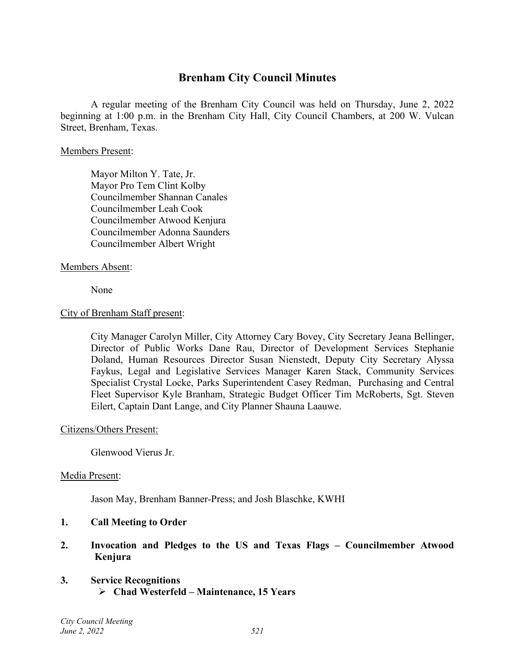## **Brenham City Council Minutes**

A regular meeting of the Brenham City Council was held on Thursday, June 2, 2022 beginning at 1:00 p.m. in the Brenham City Hall, City Council Chambers, at 200 W. Vulcan Street, Brenham, Texas.

#### Members Present:

Mayor Milton Y. Tate, Jr. Mayor Pro Tem Clint Kolby Councilmember Shannan Canales Councilmember Leah Cook Councilmember Atwood Kenjura Councilmember Adonna Saunders Councilmember Albert Wright

## Members Absent:

None

#### City of Brenham Staff present:

City Manager Carolyn Miller, City Attorney Cary Bovey, City Secretary Jeana Bellinger, Director of Public Works Dane Rau, Director of Development Services Stephanie Doland, Human Resources Director Susan Nienstedt, Deputy City Secretary Alyssa Faykus, Legal and Legislative Services Manager Karen Stack, Community Services Specialist Crystal Locke, Parks Superintendent Casey Redman, Purchasing and Central Fleet Supervisor Kyle Branham, Strategic Budget Officer Tim McRoberts, Sgt. Steven Eilert, Captain Dant Lange, and City Planner Shauna Laauwe.

#### Citizens/Others Present:

Glenwood Vierus Jr.

#### Media Present:

Jason May, Brenham Banner-Press; and Josh Blaschke, KWHI

#### **1. Call Meeting to Order**

**2. Invocation and Pledges to the US and Texas Flags – Councilmember Atwood Kenjura**

## **3. Service Recognitions Chad Westerfeld – Maintenance, 15 Years**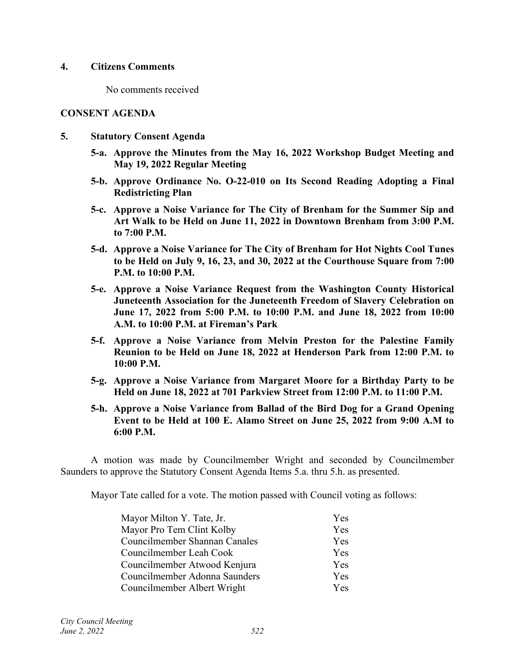#### **4. Citizens Comments**

No comments received

#### **CONSENT AGENDA**

- **5. Statutory Consent Agenda**
	- **5-a. Approve the Minutes from the May 16, 2022 Workshop Budget Meeting and May 19, 2022 Regular Meeting**
	- **5-b. Approve Ordinance No. O-22-010 on Its Second Reading Adopting a Final Redistricting Plan**
	- **5-c. Approve a Noise Variance for The City of Brenham for the Summer Sip and Art Walk to be Held on June 11, 2022 in Downtown Brenham from 3:00 P.M. to 7:00 P.M.**
	- **5-d. Approve a Noise Variance for The City of Brenham for Hot Nights Cool Tunes to be Held on July 9, 16, 23, and 30, 2022 at the Courthouse Square from 7:00 P.M. to 10:00 P.M.**
	- **5-e. Approve a Noise Variance Request from the Washington County Historical Juneteenth Association for the Juneteenth Freedom of Slavery Celebration on June 17, 2022 from 5:00 P.M. to 10:00 P.M. and June 18, 2022 from 10:00 A.M. to 10:00 P.M. at Fireman's Park**
	- **5-f. Approve a Noise Variance from Melvin Preston for the Palestine Family Reunion to be Held on June 18, 2022 at Henderson Park from 12:00 P.M. to 10:00 P.M.**
	- **5-g. Approve a Noise Variance from Margaret Moore for a Birthday Party to be Held on June 18, 2022 at 701 Parkview Street from 12:00 P.M. to 11:00 P.M.**
	- **5-h. Approve a Noise Variance from Ballad of the Bird Dog for a Grand Opening Event to be Held at 100 E. Alamo Street on June 25, 2022 from 9:00 A.M to 6:00 P.M.**

A motion was made by Councilmember Wright and seconded by Councilmember Saunders to approve the Statutory Consent Agenda Items 5.a. thru 5.h. as presented.

Mayor Tate called for a vote. The motion passed with Council voting as follows:

| Mayor Milton Y. Tate, Jr.     | <b>Yes</b> |
|-------------------------------|------------|
| Mayor Pro Tem Clint Kolby     | Yes        |
| Councilmember Shannan Canales | Yes        |
| Councilmember Leah Cook       | Yes        |
| Councilmember Atwood Kenjura  | Yes        |
| Councilmember Adonna Saunders | Yes        |
| Councilmember Albert Wright   | Yes        |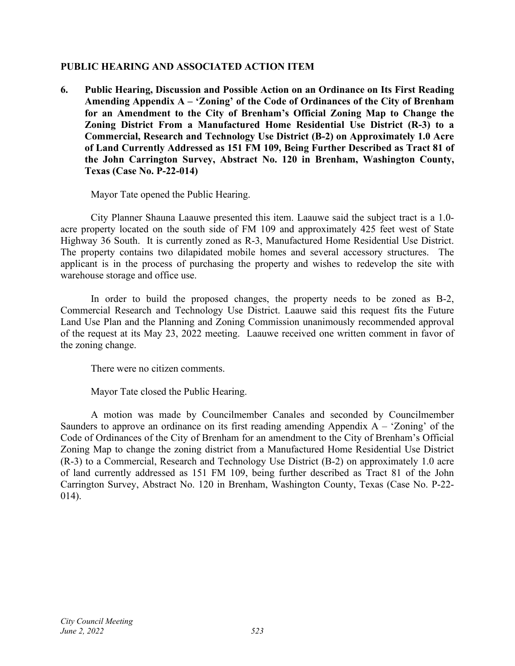## **PUBLIC HEARING AND ASSOCIATED ACTION ITEM**

**6. Public Hearing, Discussion and Possible Action on an Ordinance on Its First Reading Amending Appendix A – 'Zoning' of the Code of Ordinances of the City of Brenham for an Amendment to the City of Brenham's Official Zoning Map to Change the Zoning District From a Manufactured Home Residential Use District (R-3) to a Commercial, Research and Technology Use District (B-2) on Approximately 1.0 Acre of Land Currently Addressed as 151 FM 109, Being Further Described as Tract 81 of the John Carrington Survey, Abstract No. 120 in Brenham, Washington County, Texas (Case No. P-22-014)**

Mayor Tate opened the Public Hearing.

City Planner Shauna Laauwe presented this item. Laauwe said the subject tract is a 1.0 acre property located on the south side of FM 109 and approximately 425 feet west of State Highway 36 South. It is currently zoned as R-3, Manufactured Home Residential Use District. The property contains two dilapidated mobile homes and several accessory structures. The applicant is in the process of purchasing the property and wishes to redevelop the site with warehouse storage and office use.

In order to build the proposed changes, the property needs to be zoned as B-2, Commercial Research and Technology Use District. Laauwe said this request fits the Future Land Use Plan and the Planning and Zoning Commission unanimously recommended approval of the request at its May 23, 2022 meeting. Laauwe received one written comment in favor of the zoning change.

There were no citizen comments.

Mayor Tate closed the Public Hearing.

A motion was made by Councilmember Canales and seconded by Councilmember Saunders to approve an ordinance on its first reading amending Appendix  $A - 'Zoning'$  of the Code of Ordinances of the City of Brenham for an amendment to the City of Brenham's Official Zoning Map to change the zoning district from a Manufactured Home Residential Use District (R-3) to a Commercial, Research and Technology Use District (B-2) on approximately 1.0 acre of land currently addressed as 151 FM 109, being further described as Tract 81 of the John Carrington Survey, Abstract No. 120 in Brenham, Washington County, Texas (Case No. P-22- 014).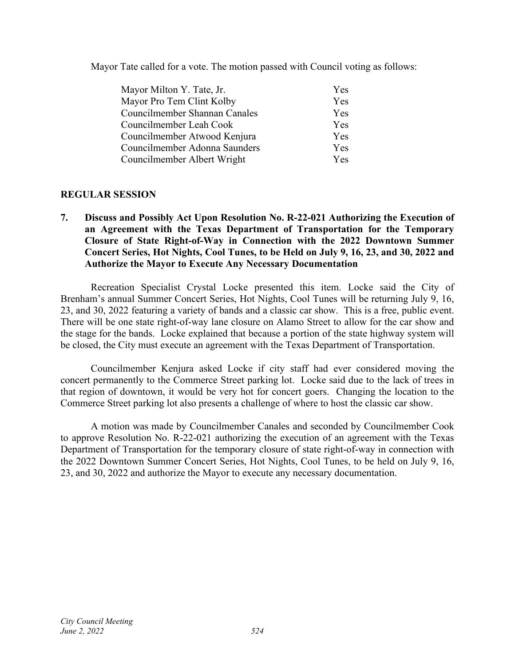Mayor Tate called for a vote. The motion passed with Council voting as follows:

| Mayor Milton Y. Tate, Jr.     | Yes        |
|-------------------------------|------------|
| Mayor Pro Tem Clint Kolby     | Yes        |
| Councilmember Shannan Canales | Yes        |
| Councilmember Leah Cook       | Yes        |
| Councilmember Atwood Kenjura  | Yes        |
| Councilmember Adonna Saunders | Yes        |
| Councilmember Albert Wright   | <b>Yes</b> |

## **REGULAR SESSION**

**7. Discuss and Possibly Act Upon Resolution No. R-22-021 Authorizing the Execution of an Agreement with the Texas Department of Transportation for the Temporary Closure of State Right-of-Way in Connection with the 2022 Downtown Summer Concert Series, Hot Nights, Cool Tunes, to be Held on July 9, 16, 23, and 30, 2022 and Authorize the Mayor to Execute Any Necessary Documentation** 

Recreation Specialist Crystal Locke presented this item. Locke said the City of Brenham's annual Summer Concert Series, Hot Nights, Cool Tunes will be returning July 9, 16, 23, and 30, 2022 featuring a variety of bands and a classic car show. This is a free, public event. There will be one state right-of-way lane closure on Alamo Street to allow for the car show and the stage for the bands. Locke explained that because a portion of the state highway system will be closed, the City must execute an agreement with the Texas Department of Transportation.

Councilmember Kenjura asked Locke if city staff had ever considered moving the concert permanently to the Commerce Street parking lot. Locke said due to the lack of trees in that region of downtown, it would be very hot for concert goers. Changing the location to the Commerce Street parking lot also presents a challenge of where to host the classic car show.

A motion was made by Councilmember Canales and seconded by Councilmember Cook to approve Resolution No. R-22-021 authorizing the execution of an agreement with the Texas Department of Transportation for the temporary closure of state right-of-way in connection with the 2022 Downtown Summer Concert Series, Hot Nights, Cool Tunes, to be held on July 9, 16, 23, and 30, 2022 and authorize the Mayor to execute any necessary documentation.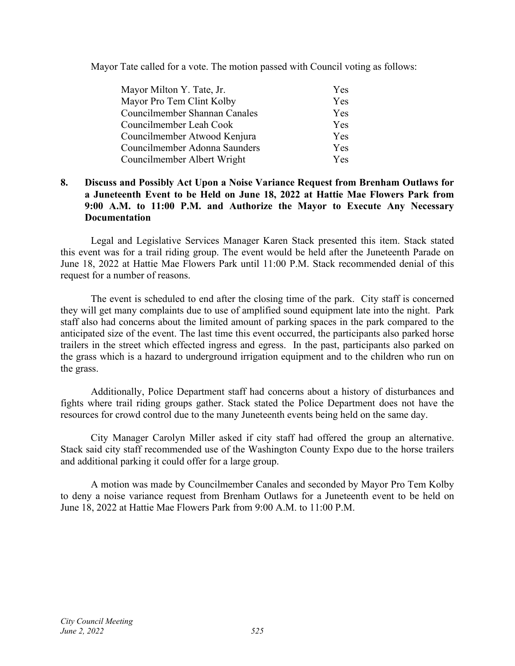Mayor Tate called for a vote. The motion passed with Council voting as follows:

| Mayor Milton Y. Tate, Jr.     | <b>Yes</b> |
|-------------------------------|------------|
| Mayor Pro Tem Clint Kolby     | Yes        |
| Councilmember Shannan Canales | Yes        |
| Councilmember Leah Cook       | Yes        |
| Councilmember Atwood Kenjura  | Yes        |
| Councilmember Adonna Saunders | Yes        |
| Councilmember Albert Wright   | Yes.       |

## **8. Discuss and Possibly Act Upon a Noise Variance Request from Brenham Outlaws for a Juneteenth Event to be Held on June 18, 2022 at Hattie Mae Flowers Park from 9:00 A.M. to 11:00 P.M. and Authorize the Mayor to Execute Any Necessary Documentation**

Legal and Legislative Services Manager Karen Stack presented this item. Stack stated this event was for a trail riding group. The event would be held after the Juneteenth Parade on June 18, 2022 at Hattie Mae Flowers Park until 11:00 P.M. Stack recommended denial of this request for a number of reasons.

The event is scheduled to end after the closing time of the park. City staff is concerned they will get many complaints due to use of amplified sound equipment late into the night. Park staff also had concerns about the limited amount of parking spaces in the park compared to the anticipated size of the event. The last time this event occurred, the participants also parked horse trailers in the street which effected ingress and egress. In the past, participants also parked on the grass which is a hazard to underground irrigation equipment and to the children who run on the grass.

Additionally, Police Department staff had concerns about a history of disturbances and fights where trail riding groups gather. Stack stated the Police Department does not have the resources for crowd control due to the many Juneteenth events being held on the same day.

City Manager Carolyn Miller asked if city staff had offered the group an alternative. Stack said city staff recommended use of the Washington County Expo due to the horse trailers and additional parking it could offer for a large group.

A motion was made by Councilmember Canales and seconded by Mayor Pro Tem Kolby to deny a noise variance request from Brenham Outlaws for a Juneteenth event to be held on June 18, 2022 at Hattie Mae Flowers Park from 9:00 A.M. to 11:00 P.M.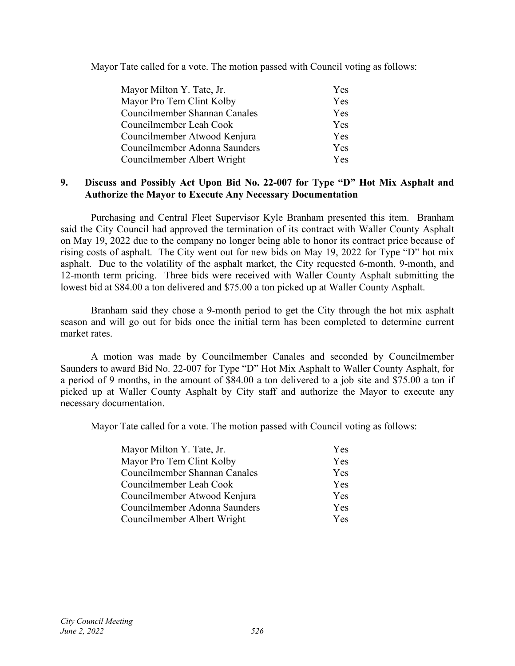Mayor Tate called for a vote. The motion passed with Council voting as follows:

| Mayor Milton Y. Tate, Jr.     | <b>Yes</b> |
|-------------------------------|------------|
| Mayor Pro Tem Clint Kolby     | Yes        |
| Councilmember Shannan Canales | Yes        |
| Councilmember Leah Cook       | <b>Yes</b> |
| Councilmember Atwood Kenjura  | Yes        |
| Councilmember Adonna Saunders | Yes        |
| Councilmember Albert Wright   | <b>Yes</b> |

## **9. Discuss and Possibly Act Upon Bid No. 22-007 for Type "D" Hot Mix Asphalt and Authorize the Mayor to Execute Any Necessary Documentation**

Purchasing and Central Fleet Supervisor Kyle Branham presented this item. Branham said the City Council had approved the termination of its contract with Waller County Asphalt on May 19, 2022 due to the company no longer being able to honor its contract price because of rising costs of asphalt. The City went out for new bids on May 19, 2022 for Type "D" hot mix asphalt. Due to the volatility of the asphalt market, the City requested 6-month, 9-month, and 12-month term pricing. Three bids were received with Waller County Asphalt submitting the lowest bid at \$84.00 a ton delivered and \$75.00 a ton picked up at Waller County Asphalt.

Branham said they chose a 9-month period to get the City through the hot mix asphalt season and will go out for bids once the initial term has been completed to determine current market rates.

A motion was made by Councilmember Canales and seconded by Councilmember Saunders to award Bid No. 22-007 for Type "D" Hot Mix Asphalt to Waller County Asphalt, for a period of 9 months, in the amount of \$84.00 a ton delivered to a job site and \$75.00 a ton if picked up at Waller County Asphalt by City staff and authorize the Mayor to execute any necessary documentation.

Mayor Tate called for a vote. The motion passed with Council voting as follows:

| Mayor Milton Y. Tate, Jr.     | Yes |
|-------------------------------|-----|
| Mayor Pro Tem Clint Kolby     | Yes |
| Councilmember Shannan Canales | Yes |
| Councilmember Leah Cook       | Yes |
| Councilmember Atwood Kenjura  | Yes |
| Councilmember Adonna Saunders | Yes |
| Councilmember Albert Wright   | Yes |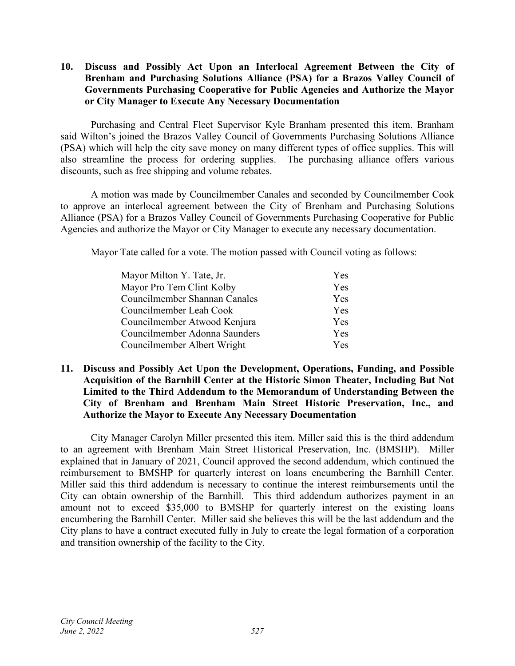## **10. Discuss and Possibly Act Upon an Interlocal Agreement Between the City of Brenham and Purchasing Solutions Alliance (PSA) for a Brazos Valley Council of Governments Purchasing Cooperative for Public Agencies and Authorize the Mayor or City Manager to Execute Any Necessary Documentation**

Purchasing and Central Fleet Supervisor Kyle Branham presented this item. Branham said Wilton's joined the Brazos Valley Council of Governments Purchasing Solutions Alliance (PSA) which will help the city save money on many different types of office supplies. This will also streamline the process for ordering supplies. The purchasing alliance offers various discounts, such as free shipping and volume rebates.

A motion was made by Councilmember Canales and seconded by Councilmember Cook to approve an interlocal agreement between the City of Brenham and Purchasing Solutions Alliance (PSA) for a Brazos Valley Council of Governments Purchasing Cooperative for Public Agencies and authorize the Mayor or City Manager to execute any necessary documentation.

Mayor Tate called for a vote. The motion passed with Council voting as follows:

| Mayor Milton Y. Tate, Jr.     | Yes        |
|-------------------------------|------------|
| Mayor Pro Tem Clint Kolby     | Yes        |
| Councilmember Shannan Canales | Yes        |
| Councilmember Leah Cook       | Yes        |
| Councilmember Atwood Kenjura  | Yes        |
| Councilmember Adonna Saunders | Yes        |
| Councilmember Albert Wright   | <b>Yes</b> |

## **11. Discuss and Possibly Act Upon the Development, Operations, Funding, and Possible Acquisition of the Barnhill Center at the Historic Simon Theater, Including But Not Limited to the Third Addendum to the Memorandum of Understanding Between the City of Brenham and Brenham Main Street Historic Preservation, Inc., and Authorize the Mayor to Execute Any Necessary Documentation**

City Manager Carolyn Miller presented this item. Miller said this is the third addendum to an agreement with Brenham Main Street Historical Preservation, Inc. (BMSHP). Miller explained that in January of 2021, Council approved the second addendum, which continued the reimbursement to BMSHP for quarterly interest on loans encumbering the Barnhill Center. Miller said this third addendum is necessary to continue the interest reimbursements until the City can obtain ownership of the Barnhill. This third addendum authorizes payment in an amount not to exceed \$35,000 to BMSHP for quarterly interest on the existing loans encumbering the Barnhill Center. Miller said she believes this will be the last addendum and the City plans to have a contract executed fully in July to create the legal formation of a corporation and transition ownership of the facility to the City.